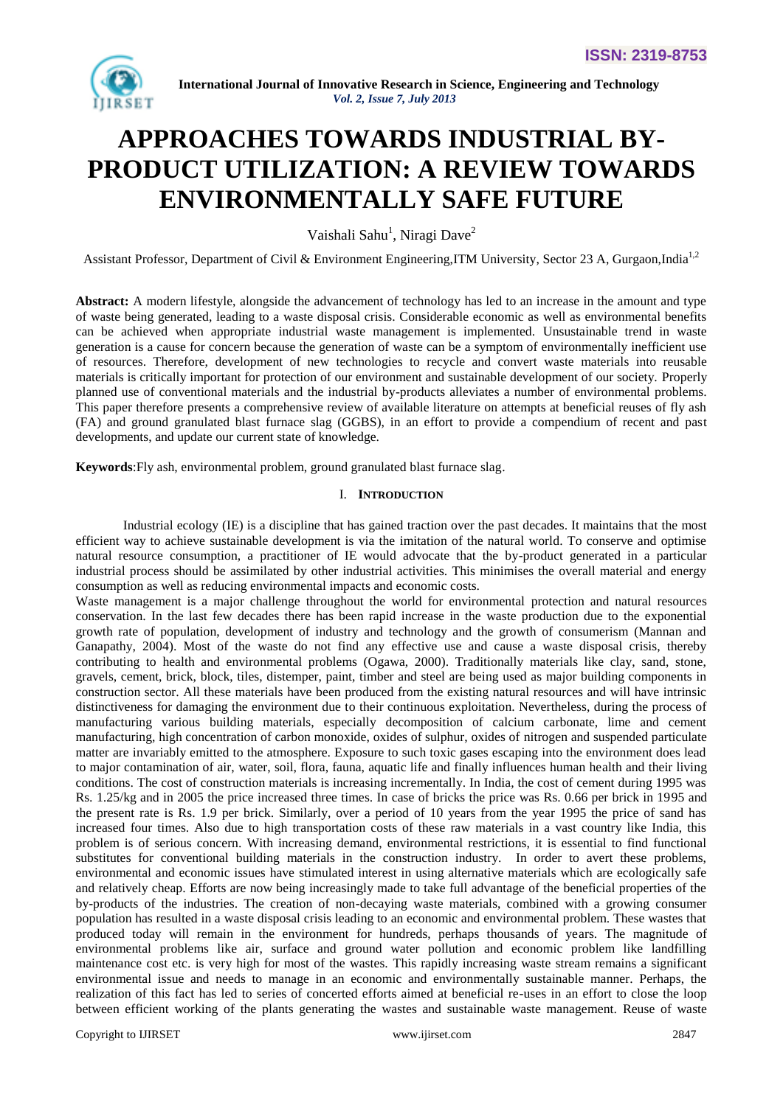

# **APPROACHES TOWARDS INDUSTRIAL BY-PRODUCT UTILIZATION: A REVIEW TOWARDS ENVIRONMENTALLY SAFE FUTURE**

Vaishali Sahu<sup>1</sup>, Niragi Dave<sup>2</sup>

Assistant Professor, Department of Civil & Environment Engineering, ITM University, Sector 23 A, Gurgaon, India<sup>1,2</sup>

**Abstract:** A modern lifestyle, alongside the advancement of technology has led to an increase in the amount and type of waste being generated, leading to a waste disposal crisis. Considerable economic as well as environmental benefits can be achieved when appropriate industrial waste management is implemented. Unsustainable trend in waste generation is a cause for concern because the generation of waste can be a symptom of environmentally inefficient use of resources. Therefore, development of new technologies to recycle and convert waste materials into reusable materials is critically important for protection of our environment and sustainable development of our society. Properly planned use of conventional materials and the industrial by-products alleviates a number of environmental problems. This paper therefore presents a comprehensive review of available literature on attempts at beneficial reuses of fly ash (FA) and ground granulated blast furnace slag (GGBS), in an effort to provide a compendium of recent and past developments, and update our current state of knowledge.

**Keywords**:Fly ash, environmental problem, ground granulated blast furnace slag.

# I. **INTRODUCTION**

Industrial ecology (IE) is a discipline that has gained traction over the past decades. It maintains that the most efficient way to achieve sustainable development is via the imitation of the natural world. To conserve and optimise natural resource consumption, a practitioner of IE would advocate that the by-product generated in a particular industrial process should be assimilated by other industrial activities. This minimises the overall material and energy consumption as well as reducing environmental impacts and economic costs.

Waste management is a major challenge throughout the world for environmental protection and natural resources conservation. In the last few decades there has been rapid increase in the waste production due to the exponential growth rate of population, development of industry and technology and the growth of consumerism (Mannan and Ganapathy, 2004). Most of the waste do not find any effective use and cause a waste disposal crisis, thereby contributing to health and environmental problems (Ogawa, 2000). Traditionally materials like clay, sand, stone, gravels, cement, brick, block, tiles, distemper, paint, timber and steel are being used as major building components in construction sector. All these materials have been produced from the existing natural resources and will have intrinsic distinctiveness for damaging the environment due to their continuous exploitation. Nevertheless, during the process of manufacturing various building materials, especially decomposition of calcium carbonate, lime and cement manufacturing, high concentration of carbon monoxide, oxides of sulphur, oxides of nitrogen and suspended particulate matter are invariably emitted to the atmosphere. Exposure to such toxic gases escaping into the environment does lead to major contamination of air, water, soil, flora, fauna, aquatic life and finally influences human health and their living conditions. The cost of construction materials is increasing incrementally. In India, the cost of cement during 1995 was Rs. 1.25/kg and in 2005 the price increased three times. In case of bricks the price was Rs. 0.66 per brick in 1995 and the present rate is Rs. 1.9 per brick. Similarly, over a period of 10 years from the year 1995 the price of sand has increased four times. Also due to high transportation costs of these raw materials in a vast country like India, this problem is of serious concern. With increasing demand, environmental restrictions, it is essential to find functional substitutes for conventional building materials in the construction industry. In order to avert these problems, environmental and economic issues have stimulated interest in using alternative materials which are ecologically safe and relatively cheap. Efforts are now being increasingly made to take full advantage of the beneficial properties of the by-products of the industries. The creation of non-decaying waste materials, combined with a growing consumer population has resulted in a waste disposal crisis leading to an economic and environmental problem. These wastes that produced today will remain in the environment for hundreds, perhaps thousands of years. The magnitude of environmental problems like air, surface and ground water pollution and economic problem like landfilling maintenance cost etc. is very high for most of the wastes. This rapidly increasing waste stream remains a significant environmental issue and needs to manage in an economic and environmentally sustainable manner. Perhaps, the realization of this fact has led to series of concerted efforts aimed at beneficial re-uses in an effort to close the loop between efficient working of the plants generating the wastes and sustainable waste management. Reuse of waste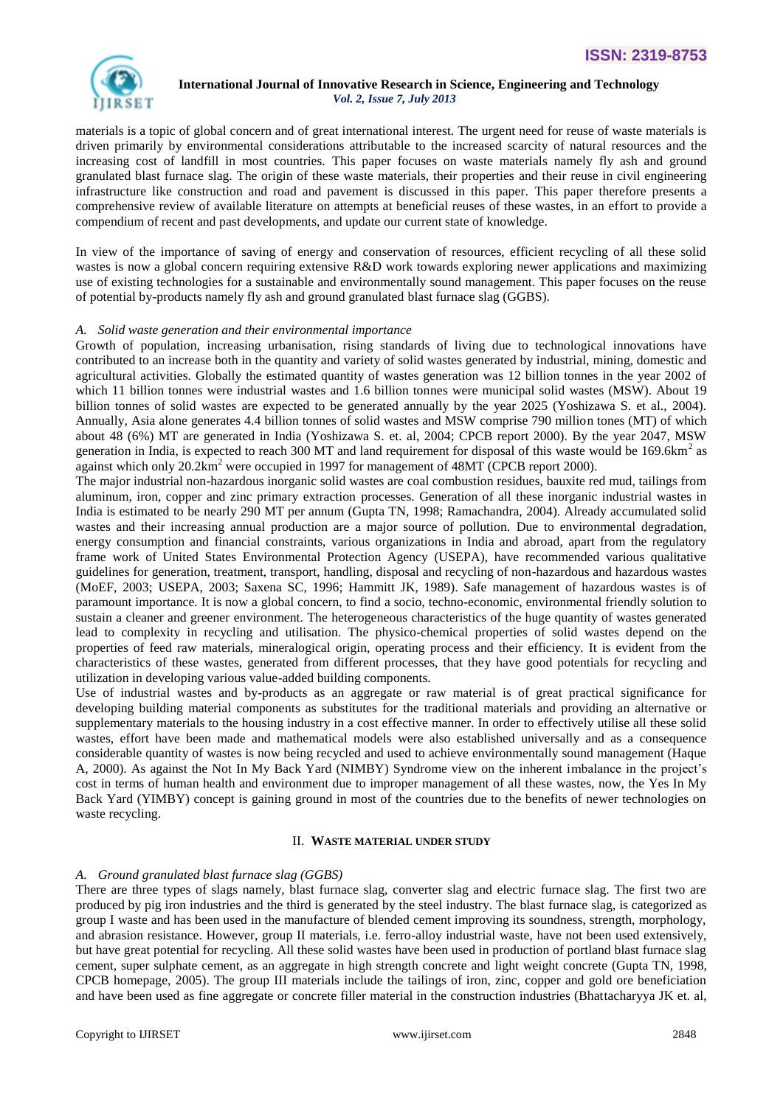

materials is a topic of global concern and of great international interest. The urgent need for reuse of waste materials is driven primarily by environmental considerations attributable to the increased scarcity of natural resources and the increasing cost of landfill in most countries. This paper focuses on waste materials namely fly ash and ground granulated blast furnace slag. The origin of these waste materials, their properties and their reuse in civil engineering infrastructure like construction and road and pavement is discussed in this paper. This paper therefore presents a comprehensive review of available literature on attempts at beneficial reuses of these wastes, in an effort to provide a compendium of recent and past developments, and update our current state of knowledge.

In view of the importance of saving of energy and conservation of resources, efficient recycling of all these solid wastes is now a global concern requiring extensive R&D work towards exploring newer applications and maximizing use of existing technologies for a sustainable and environmentally sound management. This paper focuses on the reuse of potential by-products namely fly ash and ground granulated blast furnace slag (GGBS).

## *A. Solid waste generation and their environmental importance*

Growth of population, increasing urbanisation, rising standards of living due to technological innovations have contributed to an increase both in the quantity and variety of solid wastes generated by industrial, mining, domestic and agricultural activities. Globally the estimated quantity of wastes generation was 12 billion tonnes in the year 2002 of which 11 billion tonnes were industrial wastes and 1.6 billion tonnes were municipal solid wastes (MSW). About 19 billion tonnes of solid wastes are expected to be generated annually by the year 2025 (Yoshizawa S. et al., 2004). Annually, Asia alone generates 4.4 billion tonnes of solid wastes and MSW comprise 790 million tones (MT) of which about 48 (6%) MT are generated in India (Yoshizawa S. et. al, 2004; CPCB report 2000). By the year 2047, MSW generation in India, is expected to reach 300 MT and land requirement for disposal of this waste would be  $169.6 \text{km}^2$  as against which only  $20.2 \text{km}^2$  were occupied in 1997 for management of  $48MT$  (CPCB report 2000).

The major industrial non-hazardous inorganic solid wastes are coal combustion residues, bauxite red mud, tailings from aluminum, iron, copper and zinc primary extraction processes. Generation of all these inorganic industrial wastes in India is estimated to be nearly 290 MT per annum (Gupta TN, 1998; Ramachandra, 2004). Already accumulated solid wastes and their increasing annual production are a major source of pollution. Due to environmental degradation, energy consumption and financial constraints, various organizations in India and abroad, apart from the regulatory frame work of United States Environmental Protection Agency (USEPA), have recommended various qualitative guidelines for generation, treatment, transport, handling, disposal and recycling of non-hazardous and hazardous wastes (MoEF, 2003; USEPA, 2003; Saxena SC, 1996; Hammitt JK, 1989). Safe management of hazardous wastes is of paramount importance. It is now a global concern, to find a socio, techno-economic, environmental friendly solution to sustain a cleaner and greener environment. The heterogeneous characteristics of the huge quantity of wastes generated lead to complexity in recycling and utilisation. The physico-chemical properties of solid wastes depend on the properties of feed raw materials, mineralogical origin, operating process and their efficiency. It is evident from the characteristics of these wastes, generated from different processes, that they have good potentials for recycling and utilization in developing various value-added building components.

Use of industrial wastes and by-products as an aggregate or raw material is of great practical significance for developing building material components as substitutes for the traditional materials and providing an alternative or supplementary materials to the housing industry in a cost effective manner. In order to effectively utilise all these solid wastes, effort have been made and mathematical models were also established universally and as a consequence considerable quantity of wastes is now being recycled and used to achieve environmentally sound management (Haque A, 2000). As against the Not In My Back Yard (NIMBY) Syndrome view on the inherent imbalance in the project"s cost in terms of human health and environment due to improper management of all these wastes, now, the Yes In My Back Yard (YIMBY) concept is gaining ground in most of the countries due to the benefits of newer technologies on waste recycling.

# II. **WASTE MATERIAL UNDER STUDY**

# *A. Ground granulated blast furnace slag (GGBS)*

There are three types of slags namely, blast furnace slag, converter slag and electric furnace slag. The first two are produced by pig iron industries and the third is generated by the steel industry. The blast furnace slag, is categorized as group I waste and has been used in the manufacture of blended cement improving its soundness, strength, morphology, and abrasion resistance. However, group II materials, i.e. ferro-alloy industrial waste, have not been used extensively, but have great potential for recycling. All these solid wastes have been used in production of portland blast furnace slag cement, super sulphate cement, as an aggregate in high strength concrete and light weight concrete (Gupta TN, 1998, CPCB homepage, 2005). The group III materials include the tailings of iron, zinc, copper and gold ore beneficiation and have been used as fine aggregate or concrete filler material in the construction industries (Bhattacharyya JK et. al,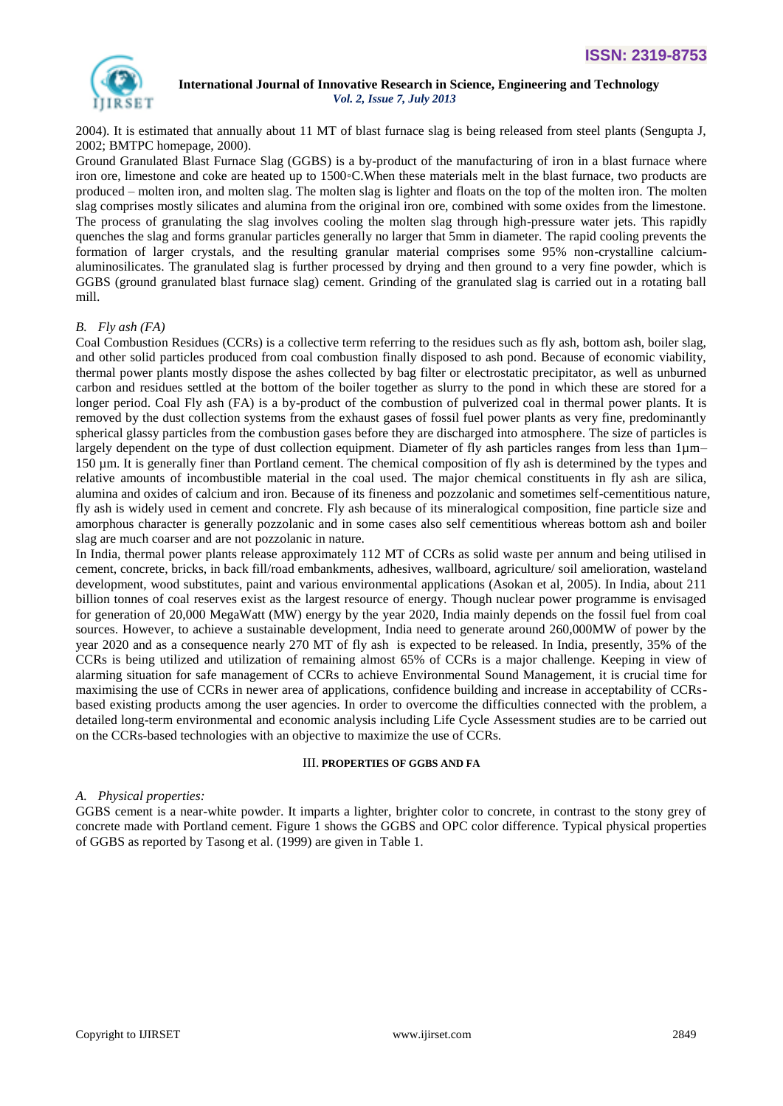

2004). It is estimated that annually about 11 MT of blast furnace slag is being released from steel plants (Sengupta J, 2002; BMTPC homepage, 2000).

Ground Granulated Blast Furnace Slag (GGBS) is a by-product of the manufacturing of iron in a blast furnace where iron ore, limestone and coke are heated up to 1500◦C.When these materials melt in the blast furnace, two products are produced – molten iron, and molten slag. The molten slag is lighter and floats on the top of the molten iron. The molten slag comprises mostly silicates and alumina from the original iron ore, combined with some oxides from the limestone. The process of granulating the slag involves cooling the molten slag through high-pressure water jets. This rapidly quenches the slag and forms granular particles generally no larger that 5mm in diameter. The rapid cooling prevents the formation of larger crystals, and the resulting granular material comprises some 95% non-crystalline calciumaluminosilicates. The granulated slag is further processed by drying and then ground to a very fine powder, which is GGBS (ground granulated blast furnace slag) cement. Grinding of the granulated slag is carried out in a rotating ball mill.

# *B. Fly ash (FA)*

Coal Combustion Residues (CCRs) is a collective term referring to the residues such as fly ash, bottom ash, boiler slag, and other solid particles produced from coal combustion finally disposed to ash pond. Because of economic viability, thermal power plants mostly dispose the ashes collected by bag filter or electrostatic precipitator, as well as unburned carbon and residues settled at the bottom of the boiler together as slurry to the pond in which these are stored for a longer period. Coal Fly ash (FA) is a by-product of the combustion of pulverized coal in thermal power plants. It is removed by the dust collection systems from the exhaust gases of fossil fuel power plants as very fine, predominantly spherical glassy particles from the combustion gases before they are discharged into atmosphere. The size of particles is largely dependent on the type of dust collection equipment. Diameter of fly ash particles ranges from less than  $1\mu$ m– 150 µm. It is generally finer than Portland cement. The chemical composition of fly ash is determined by the types and relative amounts of incombustible material in the coal used. The major chemical constituents in fly ash are silica, alumina and oxides of calcium and iron. Because of its fineness and pozzolanic and sometimes self-cementitious nature, fly ash is widely used in cement and concrete. Fly ash because of its mineralogical composition, fine particle size and amorphous character is generally pozzolanic and in some cases also self cementitious whereas bottom ash and boiler slag are much coarser and are not pozzolanic in nature.

In India, thermal power plants release approximately 112 MT of CCRs as solid waste per annum and being utilised in cement, concrete, bricks, in back fill/road embankments, adhesives, wallboard, agriculture/ soil amelioration, wasteland development, wood substitutes, paint and various environmental applications (Asokan et al, 2005). In India, about 211 billion tonnes of coal reserves exist as the largest resource of energy. Though nuclear power programme is envisaged for generation of 20,000 MegaWatt (MW) energy by the year 2020, India mainly depends on the fossil fuel from coal sources. However, to achieve a sustainable development, India need to generate around 260,000MW of power by the year 2020 and as a consequence nearly 270 MT of fly ash is expected to be released. In India, presently, 35% of the CCRs is being utilized and utilization of remaining almost 65% of CCRs is a major challenge. Keeping in view of alarming situation for safe management of CCRs to achieve Environmental Sound Management, it is crucial time for maximising the use of CCRs in newer area of applications, confidence building and increase in acceptability of CCRsbased existing products among the user agencies. In order to overcome the difficulties connected with the problem, a detailed long-term environmental and economic analysis including Life Cycle Assessment studies are to be carried out on the CCRs-based technologies with an objective to maximize the use of CCRs.

#### III. **PROPERTIES OF GGBS AND FA**

#### *A. Physical properties:*

GGBS cement is a near-white powder. It imparts a lighter, brighter color to concrete, in contrast to the stony grey of concrete made with Portland cement. Figure 1 shows the GGBS and OPC color difference. Typical physical properties of GGBS as reported by Tasong et al. (1999) are given in Table 1.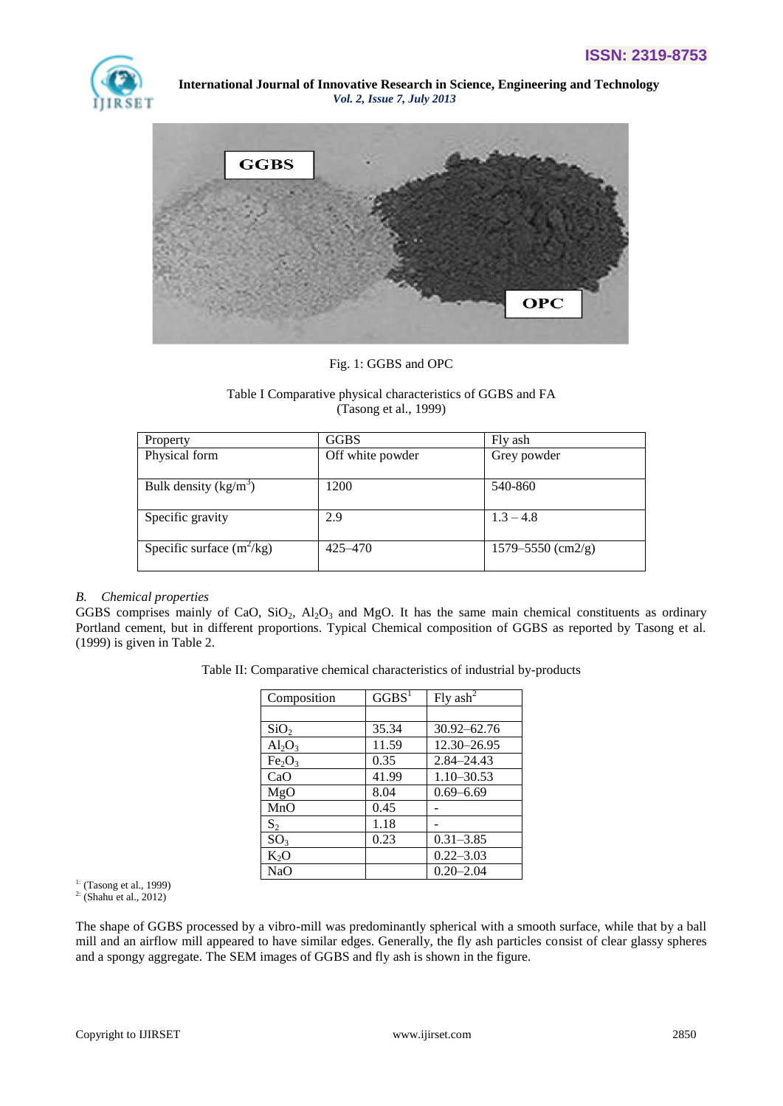



Fig. 1: GGBS and OPC

# Table I Comparative physical characteristics of GGBS and FA (Tasong et al., 1999)

| Property                    | <b>GGBS</b>      | Fly ash                       |
|-----------------------------|------------------|-------------------------------|
| Physical form               | Off white powder | Grey powder                   |
| Bulk density $(kg/m^3)$     | 1200             | 540-860                       |
| Specific gravity            | 2.9              | $1.3 - 4.8$                   |
| Specific surface $(m^2/kg)$ | $425 - 470$      | $1579 - 5550 \text{ (cm2/g)}$ |

# *B. Chemical properties*

GGBS comprises mainly of CaO,  $SiO_2$ ,  $Al_2O_3$  and MgO. It has the same main chemical constituents as ordinary Portland cement, but in different proportions. Typical Chemical composition of GGBS as reported by Tasong et al. (1999) is given in Table 2.

| Table II: Comparative chemical characteristics of industrial by-products |  |  |  |
|--------------------------------------------------------------------------|--|--|--|
|--------------------------------------------------------------------------|--|--|--|

| Composition                    | GGBS <sup>1</sup> | Fly $ash2$      |
|--------------------------------|-------------------|-----------------|
|                                |                   |                 |
| SiO <sub>2</sub>               | 35.34             | $30.92 - 62.76$ |
| $Al_2O_3$                      | 11.59             | 12.30-26.95     |
| Fe <sub>2</sub> O <sub>3</sub> | 0.35              | $2.84 - 24.43$  |
| CaO                            | 41.99             | $1.10 - 30.53$  |
| MgO                            | 8.04              | $0.69 - 6.69$   |
| MnO                            | 0.45              |                 |
| $S_2$                          | 1.18              |                 |
| SO <sub>3</sub>                | 0.23              | $0.31 - 3.85$   |
| $K_2O$                         |                   | $0.22 - 3.03$   |
| NaO                            |                   | $0.20 - 2.04$   |

<sup>1:</sup> (Tasong et al., 1999)

 $2:$  (Shahu et al., 2012)

The shape of GGBS processed by a vibro-mill was predominantly spherical with a smooth surface, while that by a ball mill and an airflow mill appeared to have similar edges. Generally, the fly ash particles consist of clear glassy spheres and a spongy aggregate. The SEM images of GGBS and fly ash is shown in the figure.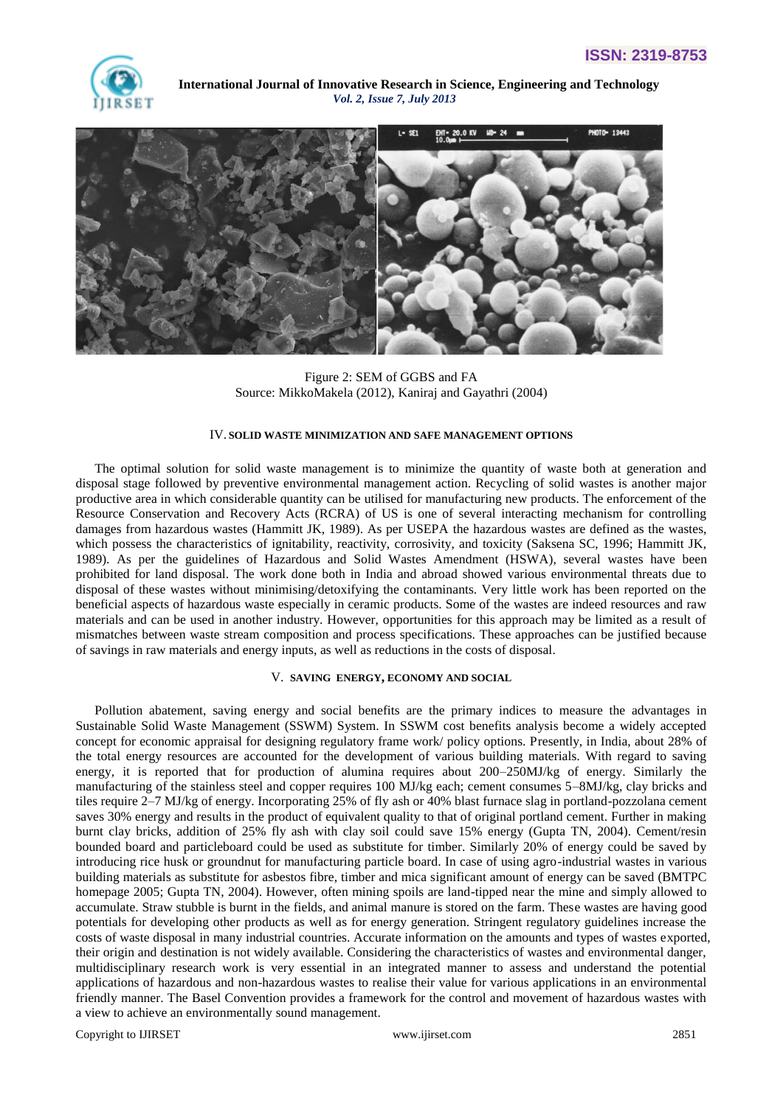



Figure 2: SEM of GGBS and FA Source: MikkoMakela (2012), Kaniraj and Gayathri (2004)

#### IV. **SOLID WASTE MINIMIZATION AND SAFE MANAGEMENT OPTIONS**

The optimal solution for solid waste management is to minimize the quantity of waste both at generation and disposal stage followed by preventive environmental management action. Recycling of solid wastes is another major productive area in which considerable quantity can be utilised for manufacturing new products. The enforcement of the Resource Conservation and Recovery Acts (RCRA) of US is one of several interacting mechanism for controlling damages from hazardous wastes (Hammitt JK, 1989). As per USEPA the hazardous wastes are defined as the wastes, which possess the characteristics of ignitability, reactivity, corrosivity, and toxicity (Saksena SC, 1996; Hammitt JK, 1989). As per the guidelines of Hazardous and Solid Wastes Amendment (HSWA), several wastes have been prohibited for land disposal. The work done both in India and abroad showed various environmental threats due to disposal of these wastes without minimising/detoxifying the contaminants. Very little work has been reported on the beneficial aspects of hazardous waste especially in ceramic products. Some of the wastes are indeed resources and raw materials and can be used in another industry. However, opportunities for this approach may be limited as a result of mismatches between waste stream composition and process specifications. These approaches can be justified because of savings in raw materials and energy inputs, as well as reductions in the costs of disposal.

#### V. **SAVING ENERGY, ECONOMY AND SOCIAL**

Pollution abatement, saving energy and social benefits are the primary indices to measure the advantages in Sustainable Solid Waste Management (SSWM) System. In SSWM cost benefits analysis become a widely accepted concept for economic appraisal for designing regulatory frame work/ policy options. Presently, in India, about 28% of the total energy resources are accounted for the development of various building materials. With regard to saving energy, it is reported that for production of alumina requires about 200–250MJ/kg of energy. Similarly the manufacturing of the stainless steel and copper requires 100 MJ/kg each; cement consumes 5–8MJ/kg, clay bricks and tiles require 2–7 MJ/kg of energy. Incorporating 25% of fly ash or 40% blast furnace slag in portland-pozzolana cement saves 30% energy and results in the product of equivalent quality to that of original portland cement. Further in making burnt clay bricks, addition of 25% fly ash with clay soil could save 15% energy (Gupta TN, 2004). Cement/resin bounded board and particleboard could be used as substitute for timber. Similarly 20% of energy could be saved by introducing rice husk or groundnut for manufacturing particle board. In case of using agro-industrial wastes in various building materials as substitute for asbestos fibre, timber and mica significant amount of energy can be saved (BMTPC homepage 2005; Gupta TN, 2004). However, often mining spoils are land-tipped near the mine and simply allowed to accumulate. Straw stubble is burnt in the fields, and animal manure is stored on the farm. These wastes are having good potentials for developing other products as well as for energy generation. Stringent regulatory guidelines increase the costs of waste disposal in many industrial countries. Accurate information on the amounts and types of wastes exported, their origin and destination is not widely available. Considering the characteristics of wastes and environmental danger, multidisciplinary research work is very essential in an integrated manner to assess and understand the potential applications of hazardous and non-hazardous wastes to realise their value for various applications in an environmental friendly manner. The Basel Convention provides a framework for the control and movement of hazardous wastes with a view to achieve an environmentally sound management.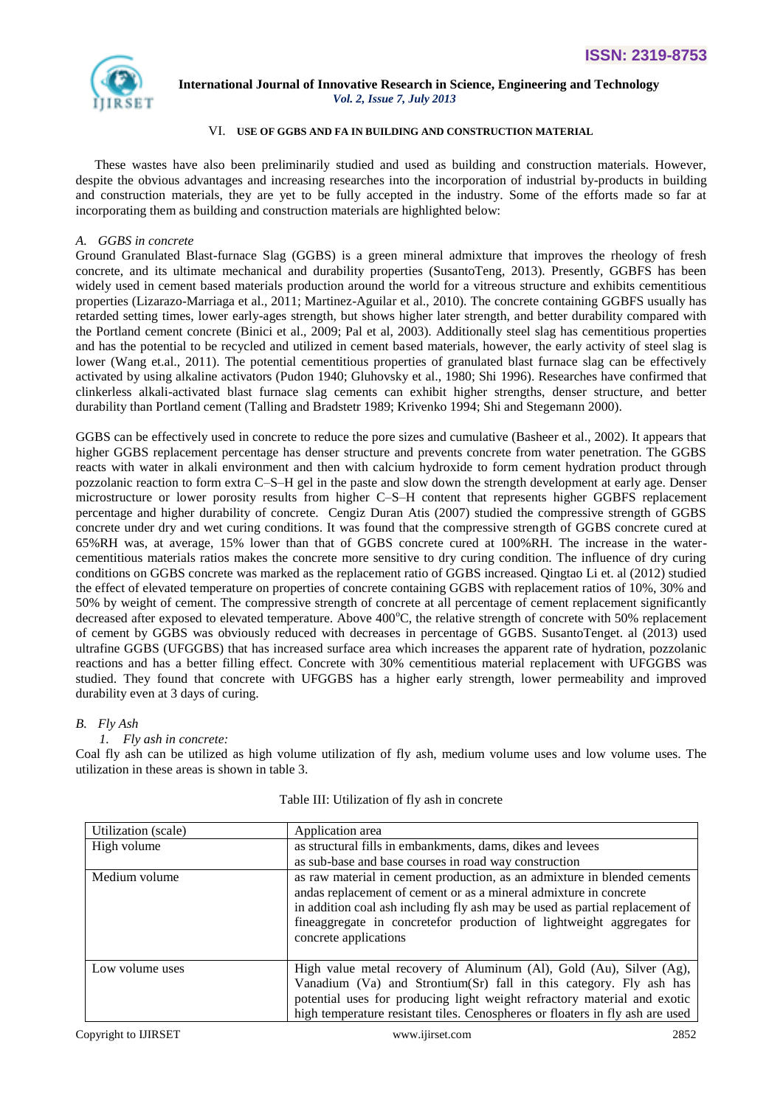

# VI. **USE OF GGBS AND FA IN BUILDING AND CONSTRUCTION MATERIAL**

These wastes have also been preliminarily studied and used as building and construction materials. However, despite the obvious advantages and increasing researches into the incorporation of industrial by-products in building and construction materials, they are yet to be fully accepted in the industry. Some of the efforts made so far at incorporating them as building and construction materials are highlighted below:

#### *A. GGBS in concrete*

Ground Granulated Blast-furnace Slag (GGBS) is a green mineral admixture that improves the rheology of fresh concrete, and its ultimate mechanical and durability properties (SusantoTeng, 2013). Presently, GGBFS has been widely used in cement based materials production around the world for a vitreous structure and exhibits cementitious properties (Lizarazo-Marriaga et al., 2011; Martinez-Aguilar et al., 2010). The concrete containing GGBFS usually has retarded setting times, lower early-ages strength, but shows higher later strength, and better durability compared with the Portland cement concrete (Binici et al., 2009; Pal et al, 2003). Additionally steel slag has cementitious properties and has the potential to be recycled and utilized in cement based materials, however, the early activity of steel slag is lower (Wang et.al., 2011). The potential cementitious properties of granulated blast furnace slag can be effectively activated by using alkaline activators (Pudon 1940; Gluhovsky et al., 1980; Shi 1996). Researches have confirmed that clinkerless alkali-activated blast furnace slag cements can exhibit higher strengths, denser structure, and better durability than Portland cement (Talling and Bradstetr 1989; Krivenko 1994; Shi and Stegemann 2000).

GGBS can be effectively used in concrete to reduce the pore sizes and cumulative (Basheer et al., 2002). It appears that higher GGBS replacement percentage has denser structure and prevents concrete from water penetration. The GGBS reacts with water in alkali environment and then with calcium hydroxide to form cement hydration product through pozzolanic reaction to form extra C–S–H gel in the paste and slow down the strength development at early age. Denser microstructure or lower porosity results from higher C–S–H content that represents higher GGBFS replacement percentage and higher durability of concrete. Cengiz Duran Atis (2007) studied the compressive strength of GGBS concrete under dry and wet curing conditions. It was found that the compressive strength of GGBS concrete cured at 65%RH was, at average, 15% lower than that of GGBS concrete cured at 100%RH. The increase in the watercementitious materials ratios makes the concrete more sensitive to dry curing condition. The influence of dry curing conditions on GGBS concrete was marked as the replacement ratio of GGBS increased. Qingtao Li et. al (2012) studied the effect of elevated temperature on properties of concrete containing GGBS with replacement ratios of 10%, 30% and 50% by weight of cement. The compressive strength of concrete at all percentage of cement replacement significantly decreased after exposed to elevated temperature. Above  $400^{\circ}$ C, the relative strength of concrete with 50% replacement of cement by GGBS was obviously reduced with decreases in percentage of GGBS. SusantoTenget. al (2013) used ultrafine GGBS (UFGGBS) that has increased surface area which increases the apparent rate of hydration, pozzolanic reactions and has a better filling effect. Concrete with 30% cementitious material replacement with UFGGBS was studied. They found that concrete with UFGGBS has a higher early strength, lower permeability and improved durability even at 3 days of curing.

# *B. Fly Ash*

# *1. Fly ash in concrete:*

Coal fly ash can be utilized as high volume utilization of fly ash, medium volume uses and low volume uses. The utilization in these areas is shown in table 3.

| Utilization (scale) | Application area                                                                                                                                                                                                                                                                                                                |
|---------------------|---------------------------------------------------------------------------------------------------------------------------------------------------------------------------------------------------------------------------------------------------------------------------------------------------------------------------------|
| High volume         | as structural fills in embankments, dams, dikes and levees                                                                                                                                                                                                                                                                      |
|                     | as sub-base and base courses in road way construction                                                                                                                                                                                                                                                                           |
| Medium volume       | as raw material in cement production, as an admixture in blended cements<br>andas replacement of cement or as a mineral admixture in concrete<br>in addition coal ash including fly ash may be used as partial replacement of<br>fineaggregate in concretefor production of lightweight aggregates for<br>concrete applications |
| Low volume uses     | High value metal recovery of Aluminum (Al), Gold (Au), Silver (Ag),<br>Vanadium (Va) and Strontium(Sr) fall in this category. Fly ash has<br>potential uses for producing light weight refractory material and exotic<br>high temperature resistant tiles. Cenospheres or floaters in fly ash are used                          |

## Table III: Utilization of fly ash in concrete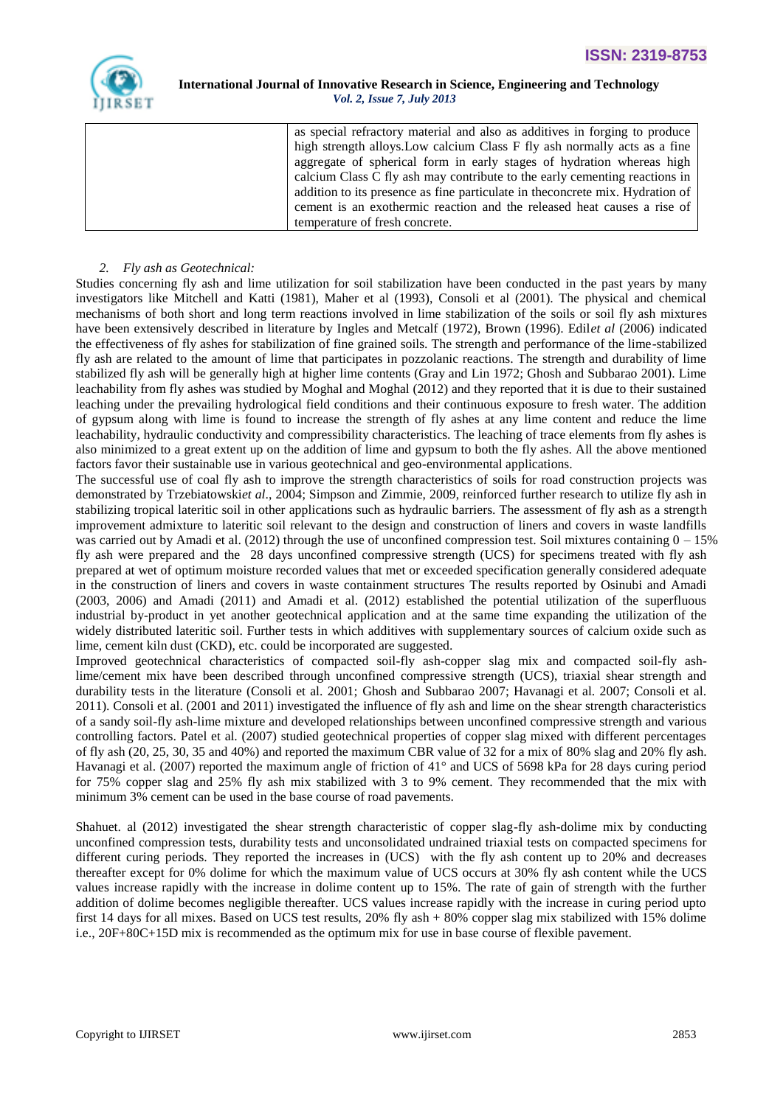

as special refractory material and also as additives in forging to produce high strength alloys.Low calcium Class F fly ash normally acts as a fine aggregate of spherical form in early stages of hydration whereas high calcium Class C fly ash may contribute to the early cementing reactions in addition to its presence as fine particulate in theconcrete mix. Hydration of cement is an exothermic reaction and the released heat causes a rise of temperature of fresh concrete.

# *2. Fly ash as Geotechnical:*

Studies concerning fly ash and lime utilization for soil stabilization have been conducted in the past years by many investigators like Mitchell and Katti (1981), Maher et al (1993), Consoli et al (2001). The physical and chemical mechanisms of both short and long term reactions involved in lime stabilization of the soils or soil fly ash mixtures have been extensively described in literature by Ingles and Metcalf (1972), Brown (1996). Edil*et al* (2006) indicated the effectiveness of fly ashes for stabilization of fine grained soils. The strength and performance of the lime-stabilized fly ash are related to the amount of lime that participates in pozzolanic reactions. The strength and durability of lime stabilized fly ash will be generally high at higher lime contents (Gray and Lin 1972; Ghosh and Subbarao 2001). Lime leachability from fly ashes was studied by Moghal and Moghal (2012) and they reported that it is due to their sustained leaching under the prevailing hydrological field conditions and their continuous exposure to fresh water. The addition of gypsum along with lime is found to increase the strength of fly ashes at any lime content and reduce the lime leachability, hydraulic conductivity and compressibility characteristics. The leaching of trace elements from fly ashes is also minimized to a great extent up on the addition of lime and gypsum to both the fly ashes. All the above mentioned factors favor their sustainable use in various geotechnical and geo-environmental applications.

The successful use of coal fly ash to improve the strength characteristics of soils for road construction projects was demonstrated by Trzebiatowski*et al*., 2004; Simpson and Zimmie, 2009, reinforced further research to utilize fly ash in stabilizing tropical lateritic soil in other applications such as hydraulic barriers. The assessment of fly ash as a strength improvement admixture to lateritic soil relevant to the design and construction of liners and covers in waste landfills was carried out by Amadi et al. (2012) through the use of unconfined compression test. Soil mixtures containing  $0 - 15\%$ fly ash were prepared and the 28 days unconfined compressive strength (UCS) for specimens treated with fly ash prepared at wet of optimum moisture recorded values that met or exceeded specification generally considered adequate in the construction of liners and covers in waste containment structures The results reported by Osinubi and Amadi (2003, 2006) and Amadi (2011) and Amadi et al. (2012) established the potential utilization of the superfluous industrial by-product in yet another geotechnical application and at the same time expanding the utilization of the widely distributed lateritic soil. Further tests in which additives with supplementary sources of calcium oxide such as lime, cement kiln dust (CKD), etc. could be incorporated are suggested.

Improved geotechnical characteristics of compacted soil-fly ash-copper slag mix and compacted soil-fly ashlime/cement mix have been described through unconfined compressive strength (UCS), triaxial shear strength and durability tests in the literature (Consoli et al. 2001; Ghosh and Subbarao 2007; Havanagi et al. 2007; Consoli et al. 2011). Consoli et al. (2001 and 2011) investigated the influence of fly ash and lime on the shear strength characteristics of a sandy soil-fly ash-lime mixture and developed relationships between unconfined compressive strength and various controlling factors. Patel et al. (2007) studied geotechnical properties of copper slag mixed with different percentages of fly ash (20, 25, 30, 35 and 40%) and reported the maximum CBR value of 32 for a mix of 80% slag and 20% fly ash. Havanagi et al. (2007) reported the maximum angle of friction of 41° and UCS of 5698 kPa for 28 days curing period for 75% copper slag and 25% fly ash mix stabilized with 3 to 9% cement. They recommended that the mix with minimum 3% cement can be used in the base course of road pavements.

Shahuet. al (2012) investigated the shear strength characteristic of copper slag-fly ash-dolime mix by conducting unconfined compression tests, durability tests and unconsolidated undrained triaxial tests on compacted specimens for different curing periods. They reported the increases in (UCS) with the fly ash content up to 20% and decreases thereafter except for 0% dolime for which the maximum value of UCS occurs at 30% fly ash content while the UCS values increase rapidly with the increase in dolime content up to 15%. The rate of gain of strength with the further addition of dolime becomes negligible thereafter. UCS values increase rapidly with the increase in curing period upto first 14 days for all mixes. Based on UCS test results, 20% fly ash + 80% copper slag mix stabilized with 15% dolime i.e., 20F+80C+15D mix is recommended as the optimum mix for use in base course of flexible pavement.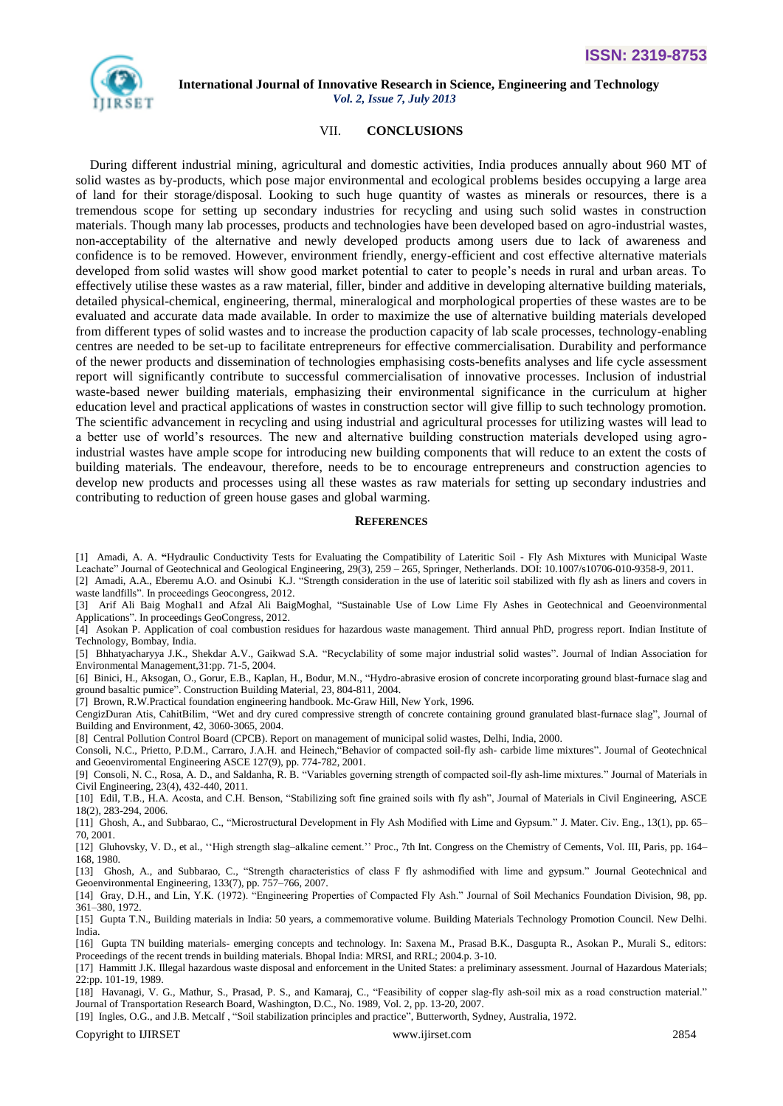

## VII. **CONCLUSIONS**

During different industrial mining, agricultural and domestic activities, India produces annually about 960 MT of solid wastes as by-products, which pose major environmental and ecological problems besides occupying a large area of land for their storage/disposal. Looking to such huge quantity of wastes as minerals or resources, there is a tremendous scope for setting up secondary industries for recycling and using such solid wastes in construction materials. Though many lab processes, products and technologies have been developed based on agro-industrial wastes, non-acceptability of the alternative and newly developed products among users due to lack of awareness and confidence is to be removed. However, environment friendly, energy-efficient and cost effective alternative materials developed from solid wastes will show good market potential to cater to people's needs in rural and urban areas. To effectively utilise these wastes as a raw material, filler, binder and additive in developing alternative building materials, detailed physical-chemical, engineering, thermal, mineralogical and morphological properties of these wastes are to be evaluated and accurate data made available. In order to maximize the use of alternative building materials developed from different types of solid wastes and to increase the production capacity of lab scale processes, technology-enabling centres are needed to be set-up to facilitate entrepreneurs for effective commercialisation. Durability and performance of the newer products and dissemination of technologies emphasising costs-benefits analyses and life cycle assessment report will significantly contribute to successful commercialisation of innovative processes. Inclusion of industrial waste-based newer building materials, emphasizing their environmental significance in the curriculum at higher education level and practical applications of wastes in construction sector will give fillip to such technology promotion. The scientific advancement in recycling and using industrial and agricultural processes for utilizing wastes will lead to a better use of world"s resources. The new and alternative building construction materials developed using agroindustrial wastes have ample scope for introducing new building components that will reduce to an extent the costs of building materials. The endeavour, therefore, needs to be to encourage entrepreneurs and construction agencies to develop new products and processes using all these wastes as raw materials for setting up secondary industries and contributing to reduction of green house gases and global warming.

#### **REFERENCES**

[1] Amadi, A. A. **"**Hydraulic Conductivity Tests for Evaluating the Compatibility of Lateritic Soil - Fly Ash Mixtures with Municipal Waste Leachate" Journal of Geotechnical and Geological Engineering, 29(3), 259 – 265, Springer, Netherlands. DOI: 10.1007/s10706-010-9358-9, 2011.

[2] Amadi, A.A., Eberemu A.O. and Osinubi K.J. "Strength consideration in the use of lateritic soil stabilized with fly ash as liners and covers in waste landfills". In proceedings Geocongress, 2012.

[3] Arif Ali Baig Moghal1 and Afzal Ali BaigMoghal, "Sustainable Use of Low Lime Fly Ashes in Geotechnical and Geoenvironmental Applications". In proceedings GeoCongress, 2012.

[4] Asokan P. Application of coal combustion residues for hazardous waste management. Third annual PhD, progress report. Indian Institute of Technology, Bombay, India.

[5] Bhhatyacharyya J.K., Shekdar A.V., Gaikwad S.A. "Recyclability of some major industrial solid wastes". Journal of Indian Association for Environmental Management,31:pp. 71-5, 2004.

[6] Binici, H., Aksogan, O., Gorur, E.B., Kaplan, H., Bodur, M.N., "Hydro-abrasive erosion of concrete incorporating ground blast-furnace slag and ground basaltic pumice". Construction Building Material, 23, 804-811, 2004.

[7] Brown, R.W.Practical foundation engineering handbook. Mc-Graw Hill, New York, 1996.

CengizDuran Atis, CahitBilim, "Wet and dry cured compressive strength of concrete containing ground granulated blast-furnace slag", Journal of Building and Environment, 42, 3060-3065, 2004.

[8] Central Pollution Control Board (CPCB). Report on management of municipal solid wastes, Delhi, India, 2000.

Consoli, N.C., Prietto, P.D.M., Carraro, J.A.H. and Heinech,"Behavior of compacted soil-fly ash- carbide lime mixtures". Journal of Geotechnical and Geoenviromental Engineering ASCE 127(9), pp. 774-782, 2001.

[9] Consoli, N. C., Rosa, A. D., and Saldanha, R. B. "Variables governing strength of compacted soil-fly ash-lime mixtures." Journal of Materials in Civil Engineering, 23(4), 432-440, 2011.

[10] Edil, T.B., H.A. Acosta, and C.H. Benson, "Stabilizing soft fine grained soils with fly ash", Journal of Materials in Civil Engineering, ASCE 18(2), 283-294, 2006.

[11] Ghosh, A., and Subbarao, C., "Microstructural Development in Fly Ash Modified with Lime and Gypsum." J. Mater. Civ. Eng., 13(1), pp. 65– 70, 2001.

[12] Gluhovsky, V. D., et al., ""High strength slag–alkaline cement."" Proc., 7th Int. Congress on the Chemistry of Cements, Vol. III, Paris, pp. 164– 168, 1980.

[13] Ghosh, A., and Subbarao, C., "Strength characteristics of class F fly ashmodified with lime and gypsum." Journal Geotechnical and Geoenvironmental Engineering, 133(7), pp. 757–766, 2007.

[14] Gray, D.H., and Lin, Y.K. (1972). "Engineering Properties of Compacted Fly Ash." Journal of Soil Mechanics Foundation Division, 98, pp. 361–380, 1972.

[15] Gupta T.N., Building materials in India: 50 years, a commemorative volume. Building Materials Technology Promotion Council. New Delhi. India.

[16] Gupta TN building materials- emerging concepts and technology. In: Saxena M., Prasad B.K., Dasgupta R., Asokan P., Murali S., editors: Proceedings of the recent trends in building materials. Bhopal India: MRSI, and RRL; 2004.p. 3-10.

[17] Hammitt J.K. Illegal hazardous waste disposal and enforcement in the United States: a preliminary assessment. Journal of Hazardous Materials; 22:pp. 101-19, 1989.

[18] Havanagi, V. G., Mathur, S., Prasad, P. S., and Kamaraj, C., "Feasibility of copper slag-fly ash-soil mix as a road construction material." Journal of Transportation Research Board, Washington, D.C., No. 1989, Vol. 2, pp. 13-20, 2007.

[19] Ingles, O.G., and J.B. Metcalf , "Soil stabilization principles and practice", Butterworth, Sydney, Australia, 1972.